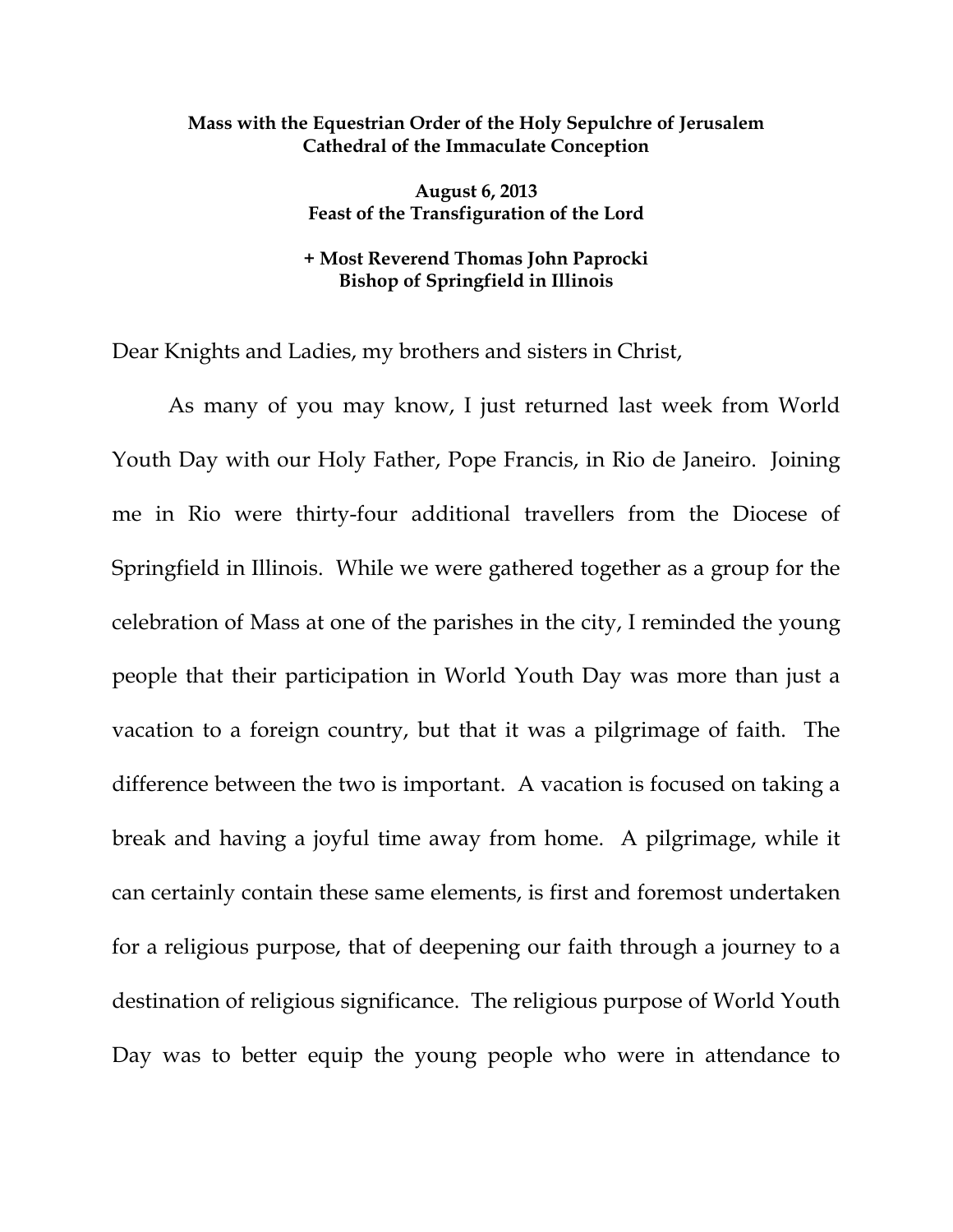## **Mass with the Equestrian Order of the Holy Sepulchre of Jerusalem Cathedral of the Immaculate Conception**

**August 6, 2013 Feast of the Transfiguration of the Lord** 

## **+ Most Reverend Thomas John Paprocki Bishop of Springfield in Illinois**

Dear Knights and Ladies, my brothers and sisters in Christ,

 As many of you may know, I just returned last week from World Youth Day with our Holy Father, Pope Francis, in Rio de Janeiro. Joining me in Rio were thirty-four additional travellers from the Diocese of Springfield in Illinois. While we were gathered together as a group for the celebration of Mass at one of the parishes in the city, I reminded the young people that their participation in World Youth Day was more than just a vacation to a foreign country, but that it was a pilgrimage of faith. The difference between the two is important. A vacation is focused on taking a break and having a joyful time away from home. A pilgrimage, while it can certainly contain these same elements, is first and foremost undertaken for a religious purpose, that of deepening our faith through a journey to a destination of religious significance. The religious purpose of World Youth Day was to better equip the young people who were in attendance to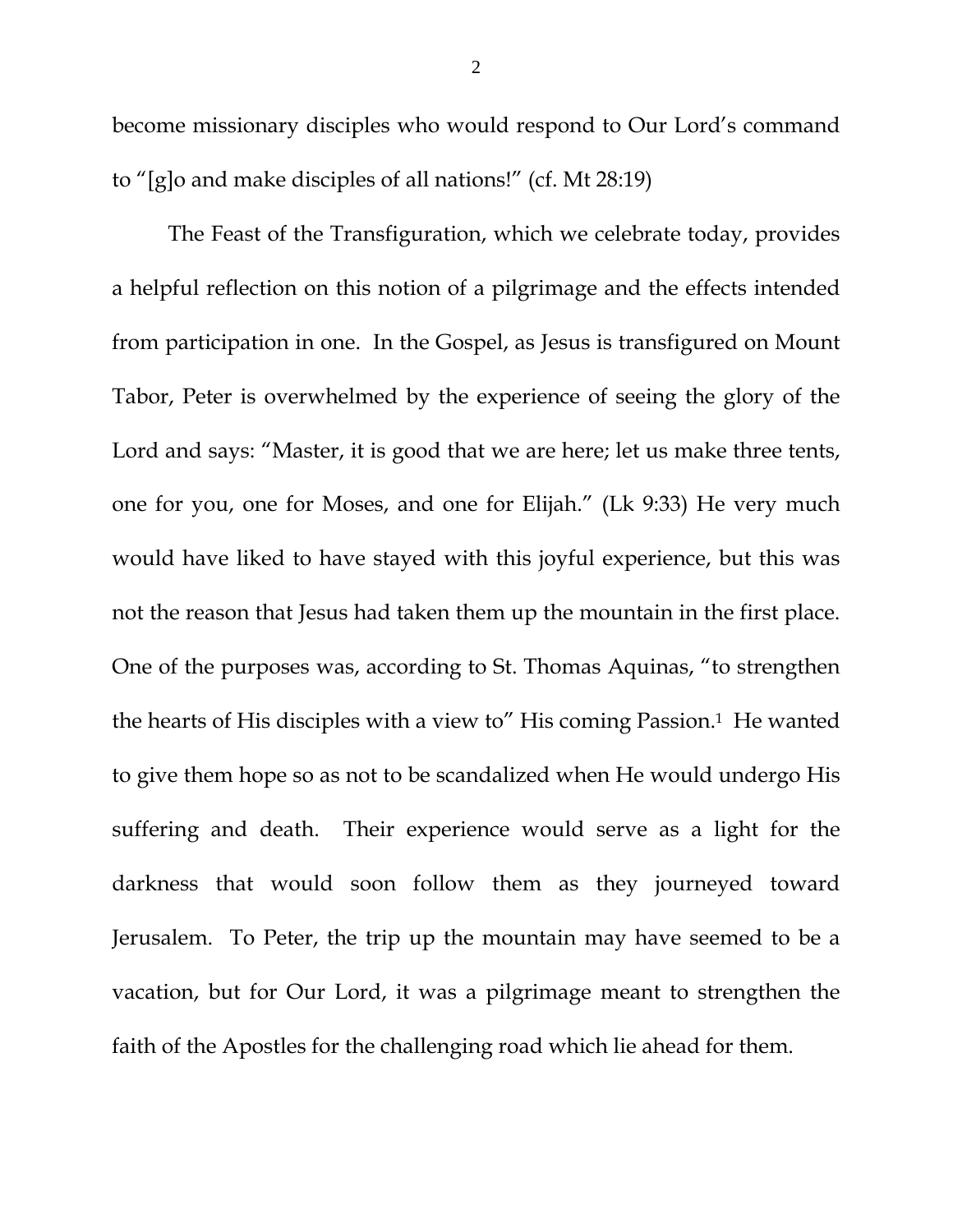become missionary disciples who would respond to Our Lord's command to "[g]o and make disciples of all nations!" (cf. Mt 28:19)

 The Feast of the Transfiguration, which we celebrate today, provides a helpful reflection on this notion of a pilgrimage and the effects intended from participation in one. In the Gospel, as Jesus is transfigured on Mount Tabor, Peter is overwhelmed by the experience of seeing the glory of the Lord and says: "Master, it is good that we are here; let us make three tents, one for you, one for Moses, and one for Elijah." (Lk 9:33) He very much would have liked to have stayed with this joyful experience, but this was not the reason that Jesus had taken them up the mountain in the first place. One of the purposes was, according to St. Thomas Aquinas, "to strengthen the hearts of His disciples with a view to" His coming Passion.<sup>1</sup> He wanted to give them hope so as not to be scandalized when He would undergo His suffering and death. Their experience would serve as a light for the darkness that would soon follow them as they journeyed toward Jerusalem. To Peter, the trip up the mountain may have seemed to be a vacation, but for Our Lord, it was a pilgrimage meant to strengthen the faith of the Apostles for the challenging road which lie ahead for them.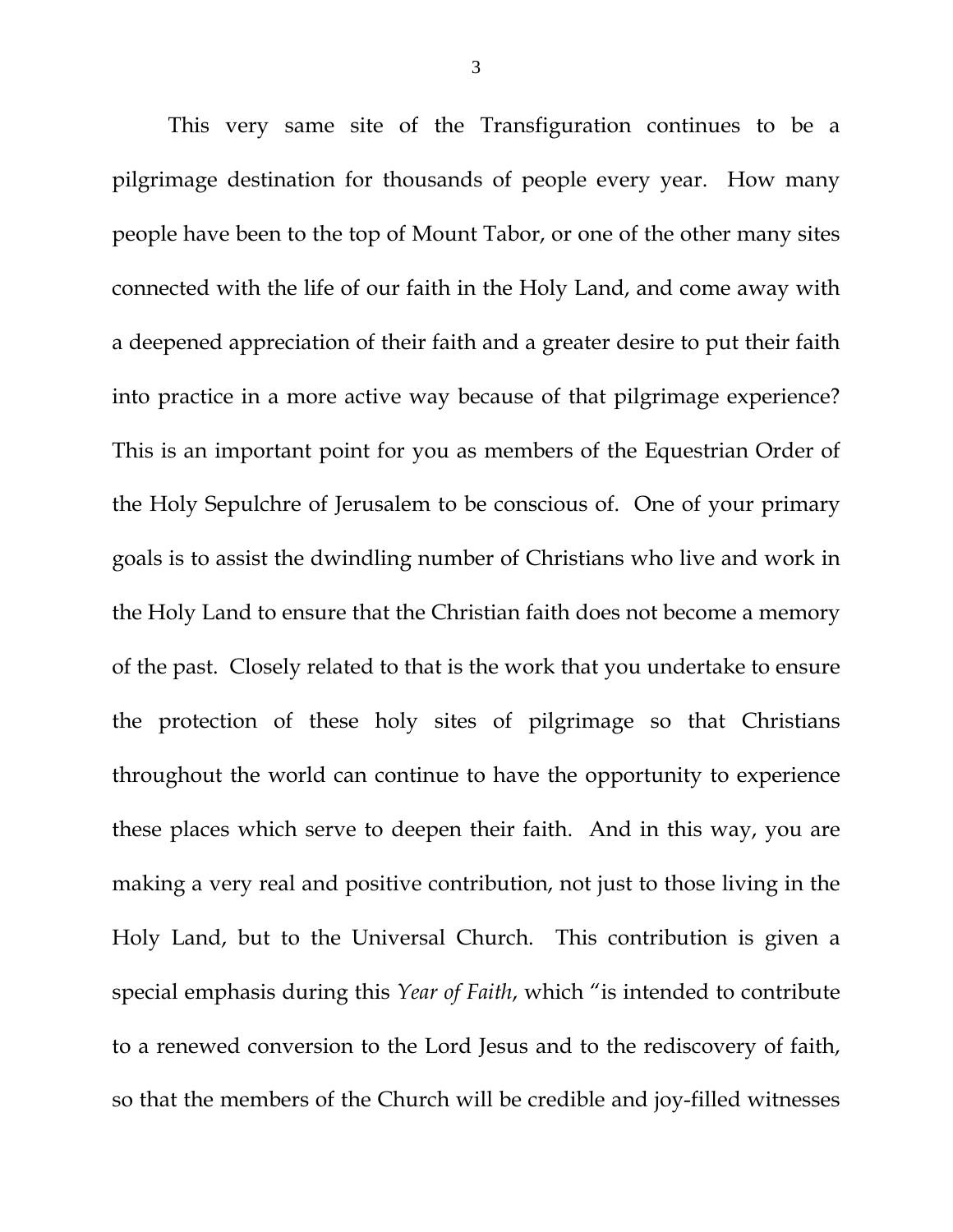This very same site of the Transfiguration continues to be a pilgrimage destination for thousands of people every year. How many people have been to the top of Mount Tabor, or one of the other many sites connected with the life of our faith in the Holy Land, and come away with a deepened appreciation of their faith and a greater desire to put their faith into practice in a more active way because of that pilgrimage experience? This is an important point for you as members of the Equestrian Order of the Holy Sepulchre of Jerusalem to be conscious of. One of your primary goals is to assist the dwindling number of Christians who live and work in the Holy Land to ensure that the Christian faith does not become a memory of the past. Closely related to that is the work that you undertake to ensure the protection of these holy sites of pilgrimage so that Christians throughout the world can continue to have the opportunity to experience these places which serve to deepen their faith. And in this way, you are making a very real and positive contribution, not just to those living in the Holy Land, but to the Universal Church. This contribution is given a special emphasis during this *Year of Faith*, which "is intended to contribute to a renewed conversion to the Lord Jesus and to the rediscovery of faith, so that the members of the Church will be credible and joy-filled witnesses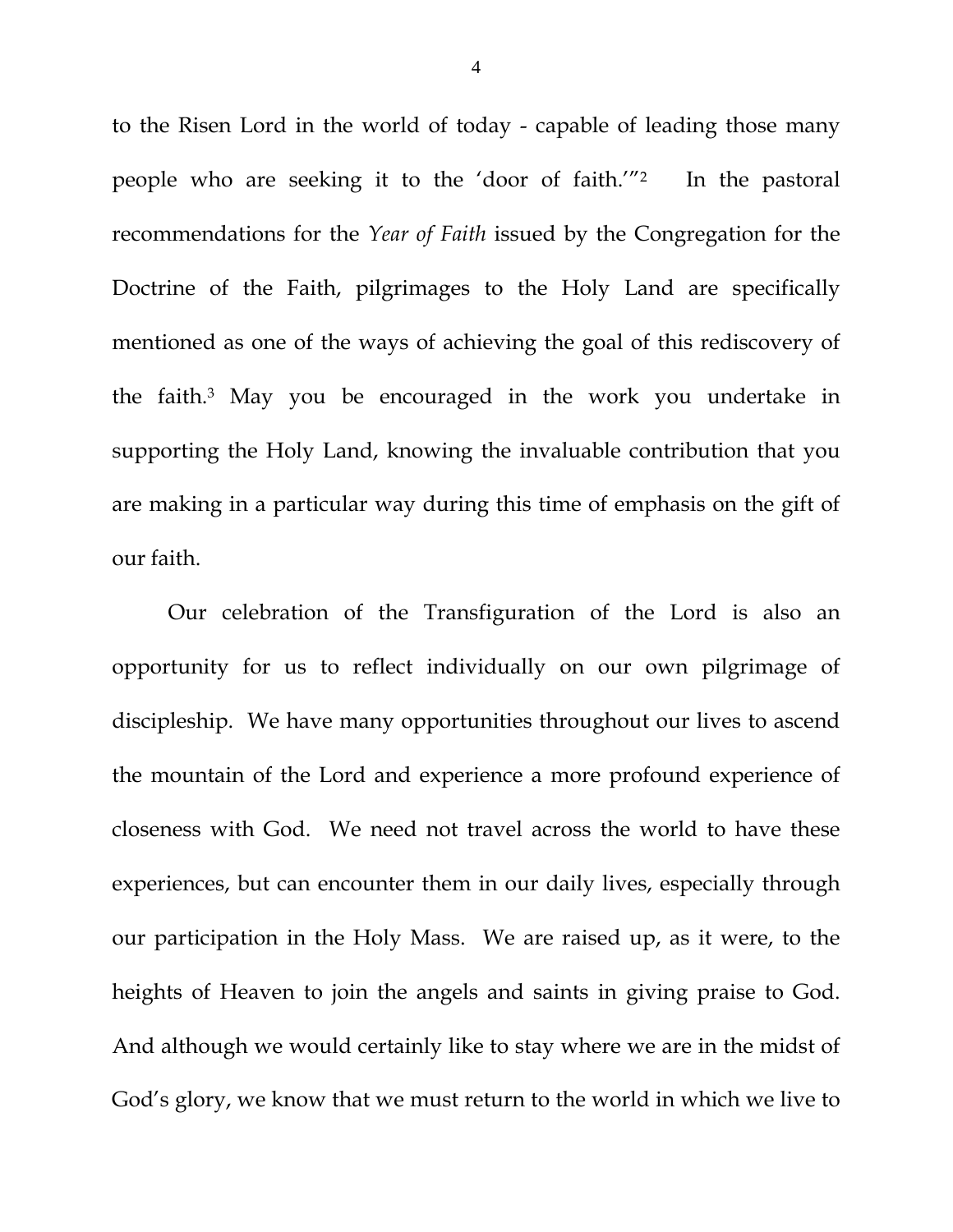to the Risen Lord in the world of today - capable of leading those many people who are seeking it to the 'door of faith.'"2 In the pastoral recommendations for the *Year of Faith* issued by the Congregation for the Doctrine of the Faith, pilgrimages to the Holy Land are specifically mentioned as one of the ways of achieving the goal of this rediscovery of the faith.3 May you be encouraged in the work you undertake in supporting the Holy Land, knowing the invaluable contribution that you are making in a particular way during this time of emphasis on the gift of our faith.

Our celebration of the Transfiguration of the Lord is also an opportunity for us to reflect individually on our own pilgrimage of discipleship. We have many opportunities throughout our lives to ascend the mountain of the Lord and experience a more profound experience of closeness with God. We need not travel across the world to have these experiences, but can encounter them in our daily lives, especially through our participation in the Holy Mass. We are raised up, as it were, to the heights of Heaven to join the angels and saints in giving praise to God. And although we would certainly like to stay where we are in the midst of God's glory, we know that we must return to the world in which we live to